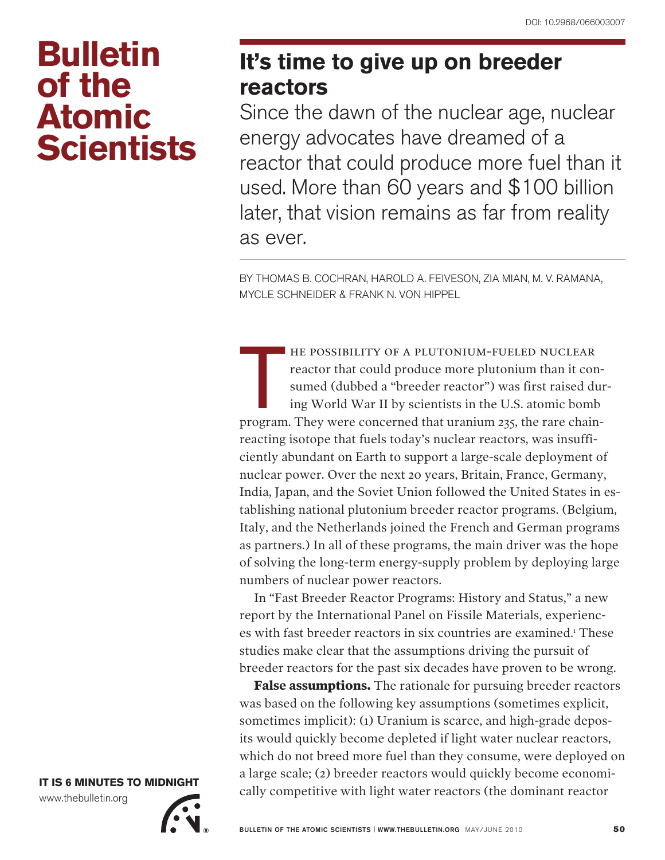## **Bulletin of the Atomic Scientists**

## **It's time to give up on breeder reactors**

Since the dawn of the nuclear age, nuclear energy advocates have dreamed of a reactor that could produce more fuel than it used. More than 60 years and \$100 billion later, that vision remains as far from reality as ever.

By Thomas B. Cochran, Harold A. Feiveson, Zia Mian, M. V. Ramana, Mycle Schneider & Frank N. von Hippel

he possibility of a plutonium-fueled nuclear reactor that could produce more plutonium than it consumed (dubbed a "breeder reactor") was first raised during World War II by scientists in the U.S. atomic bomb FRINCE THE POSSIBILITY OF A PLUTONIUM-FUELED NUCLEAR<br>reactor that could produce more plutonium than it con-<br>sumed (dubbed a "breeder reactor") was first raised dur<br>ing World War II by scientists in the U.S. atomic bomb<br>pro reacting isotope that fuels today's nuclear reactors, was insufficiently abundant on Earth to support a large-scale deployment of nuclear power. Over the next 20 years, Britain, France, Germany, India, Japan, and the Soviet Union followed the United States in establishing national plutonium breeder reactor programs. (Belgium, Italy, and the Netherlands joined the French and German programs as partners.) In all of these programs, the main driver was the hope of solving the long-term energy-supply problem by deploying large numbers of nuclear power reactors.

In "Fast Breeder Reactor Programs: History and Status," a new report by the International Panel on Fissile Materials, experiences with fast breeder reactors in six countries are examined.<sup>1</sup> These studies make clear that the assumptions driving the pursuit of breeder reactors for the past six decades have proven to be wrong.

**False assumptions.** The rationale for pursuing breeder reactors was based on the following key assumptions (sometimes explicit, sometimes implicit): (1) Uranium is scarce, and high-grade deposits would quickly become depleted if light water nuclear reactors, which do not breed more fuel than they consume, were deployed on a large scale; (2) breeder reactors would quickly become economically competitive with light water reactors (the dominant reactor

**IT IS 6 MINUTES TO MIDNIGHT** www.thebulletin.org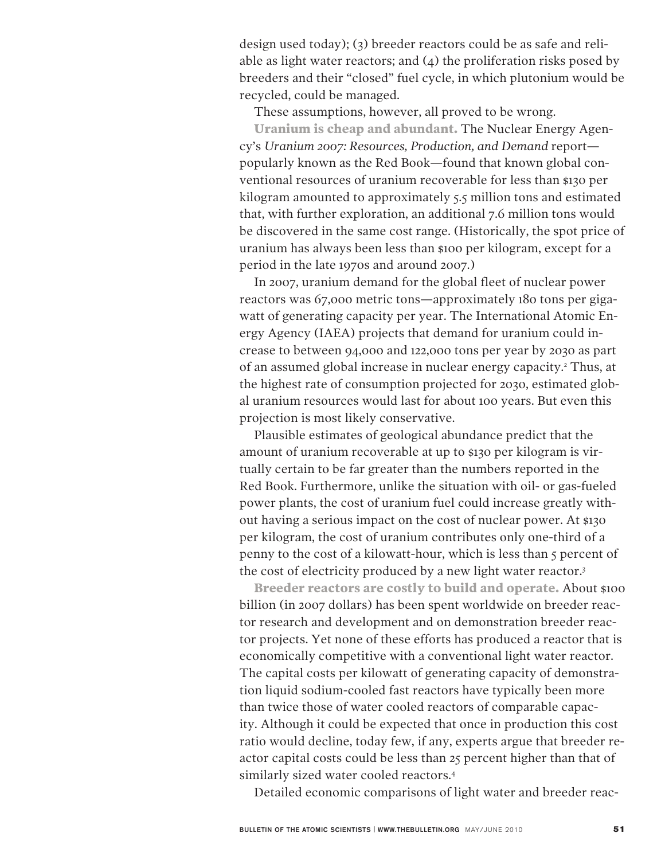design used today); (3) breeder reactors could be as safe and reliable as light water reactors; and  $(4)$  the proliferation risks posed by breeders and their "closed" fuel cycle, in which plutonium would be recycled, could be managed.

These assumptions, however, all proved to be wrong.

**Uranium is cheap and abundant.** The Nuclear Energy Agency's *Uranium 2007: Resources, Production, and Demand* report popularly known as the Red Book—found that known global conventional resources of uranium recoverable for less than \$130 per kilogram amounted to approximately 5.5 million tons and estimated that, with further exploration, an additional 7.6 million tons would be discovered in the same cost range. (Historically, the spot price of uranium has always been less than \$100 per kilogram, except for a period in the late 1970s and around 2007.)

In 2007, uranium demand for the global fleet of nuclear power reactors was 67,000 metric tons—approximately 180 tons per gigawatt of generating capacity per year. The International Atomic Energy Agency (IAEA) projects that demand for uranium could increase to between 94,000 and 122,000 tons per year by 2030 as part of an assumed global increase in nuclear energy capacity.2 Thus, at the highest rate of consumption projected for 2030, estimated global uranium resources would last for about 100 years. But even this projection is most likely conservative.

Plausible estimates of geological abundance predict that the amount of uranium recoverable at up to \$130 per kilogram is virtually certain to be far greater than the numbers reported in the Red Book. Furthermore, unlike the situation with oil- or gas-fueled power plants, the cost of uranium fuel could increase greatly without having a serious impact on the cost of nuclear power. At \$130 per kilogram, the cost of uranium contributes only one-third of a penny to the cost of a kilowatt-hour, which is less than 5 percent of the cost of electricity produced by a new light water reactor.3

**Breeder reactors are costly to build and operate.** About \$100 billion (in 2007 dollars) has been spent worldwide on breeder reactor research and development and on demonstration breeder reactor projects. Yet none of these efforts has produced a reactor that is economically competitive with a conventional light water reactor. The capital costs per kilowatt of generating capacity of demonstration liquid sodium-cooled fast reactors have typically been more than twice those of water cooled reactors of comparable capacity. Although it could be expected that once in production this cost ratio would decline, today few, if any, experts argue that breeder reactor capital costs could be less than 25 percent higher than that of similarly sized water cooled reactors.4

Detailed economic comparisons of light water and breeder reac-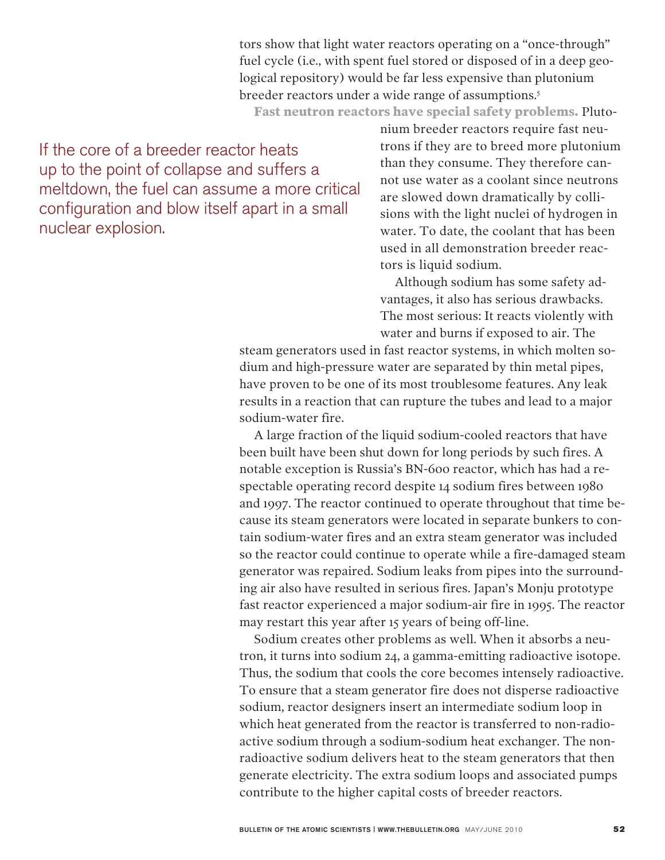tors show that light water reactors operating on a "once-through" fuel cycle (i.e., with spent fuel stored or disposed of in a deep geological repository) would be far less expensive than plutonium breeder reactors under a wide range of assumptions.<sup>5</sup>

**Fast neutron reactors have special safety problems.** Pluto-

If the core of a breeder reactor heats up to the point of collapse and suffers a meltdown, the fuel can assume a more critical configuration and blow itself apart in a small nuclear explosion.

nium breeder reactors require fast neutrons if they are to breed more plutonium than they consume. They therefore cannot use water as a coolant since neutrons are slowed down dramatically by collisions with the light nuclei of hydrogen in water. To date, the coolant that has been used in all demonstration breeder reactors is liquid sodium.

Although sodium has some safety advantages, it also has serious drawbacks. The most serious: It reacts violently with water and burns if exposed to air. The

steam generators used in fast reactor systems, in which molten sodium and high-pressure water are separated by thin metal pipes, have proven to be one of its most troublesome features. Any leak results in a reaction that can rupture the tubes and lead to a major sodium-water fire.

A large fraction of the liquid sodium-cooled reactors that have been built have been shut down for long periods by such fires. A notable exception is Russia's BN-600 reactor, which has had a respectable operating record despite 14 sodium fires between 1980 and 1997. The reactor continued to operate throughout that time because its steam generators were located in separate bunkers to contain sodium-water fires and an extra steam generator was included so the reactor could continue to operate while a fire-damaged steam generator was repaired. Sodium leaks from pipes into the surrounding air also have resulted in serious fires. Japan's Monju prototype fast reactor experienced a major sodium-air fire in 1995. The reactor may restart this year after 15 years of being off-line.

Sodium creates other problems as well. When it absorbs a neutron, it turns into sodium 24, a gamma-emitting radioactive isotope. Thus, the sodium that cools the core becomes intensely radioactive. To ensure that a steam generator fire does not disperse radioactive sodium, reactor designers insert an intermediate sodium loop in which heat generated from the reactor is transferred to non-radioactive sodium through a sodium-sodium heat exchanger. The nonradioactive sodium delivers heat to the steam generators that then generate electricity. The extra sodium loops and associated pumps contribute to the higher capital costs of breeder reactors.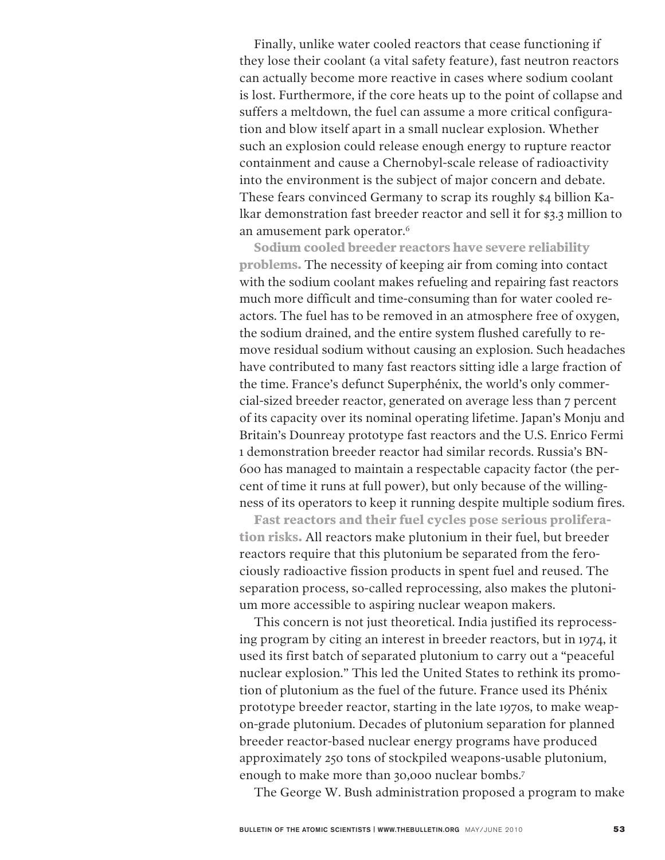Finally, unlike water cooled reactors that cease functioning if they lose their coolant (a vital safety feature), fast neutron reactors can actually become more reactive in cases where sodium coolant is lost. Furthermore, if the core heats up to the point of collapse and suffers a meltdown, the fuel can assume a more critical configuration and blow itself apart in a small nuclear explosion. Whether such an explosion could release enough energy to rupture reactor containment and cause a Chernobyl-scale release of radioactivity into the environment is the subject of major concern and debate. These fears convinced Germany to scrap its roughly \$4 billion Kalkar demonstration fast breeder reactor and sell it for \$3.3 million to an amusement park operator.6

**Sodium cooled breeder reactors have severe reliability problems.** The necessity of keeping air from coming into contact with the sodium coolant makes refueling and repairing fast reactors much more difficult and time-consuming than for water cooled reactors. The fuel has to be removed in an atmosphere free of oxygen, the sodium drained, and the entire system flushed carefully to remove residual sodium without causing an explosion. Such headaches have contributed to many fast reactors sitting idle a large fraction of the time. France's defunct Superphénix, the world's only commercial-sized breeder reactor, generated on average less than 7 percent of its capacity over its nominal operating lifetime. Japan's Monju and Britain's Dounreay prototype fast reactors and the U.S. Enrico Fermi 1 demonstration breeder reactor had similar records. Russia's BN-600 has managed to maintain a respectable capacity factor (the percent of time it runs at full power), but only because of the willingness of its operators to keep it running despite multiple sodium fires.

**Fast reactors and their fuel cycles pose serious proliferation risks.** All reactors make plutonium in their fuel, but breeder reactors require that this plutonium be separated from the ferociously radioactive fission products in spent fuel and reused. The separation process, so-called reprocessing, also makes the plutonium more accessible to aspiring nuclear weapon makers.

This concern is not just theoretical. India justified its reprocessing program by citing an interest in breeder reactors, but in 1974, it used its first batch of separated plutonium to carry out a "peaceful nuclear explosion." This led the United States to rethink its promotion of plutonium as the fuel of the future. France used its Phénix prototype breeder reactor, starting in the late 1970s, to make weapon-grade plutonium. Decades of plutonium separation for planned breeder reactor-based nuclear energy programs have produced approximately 250 tons of stockpiled weapons-usable plutonium, enough to make more than 30,000 nuclear bombs.7

The George W. Bush administration proposed a program to make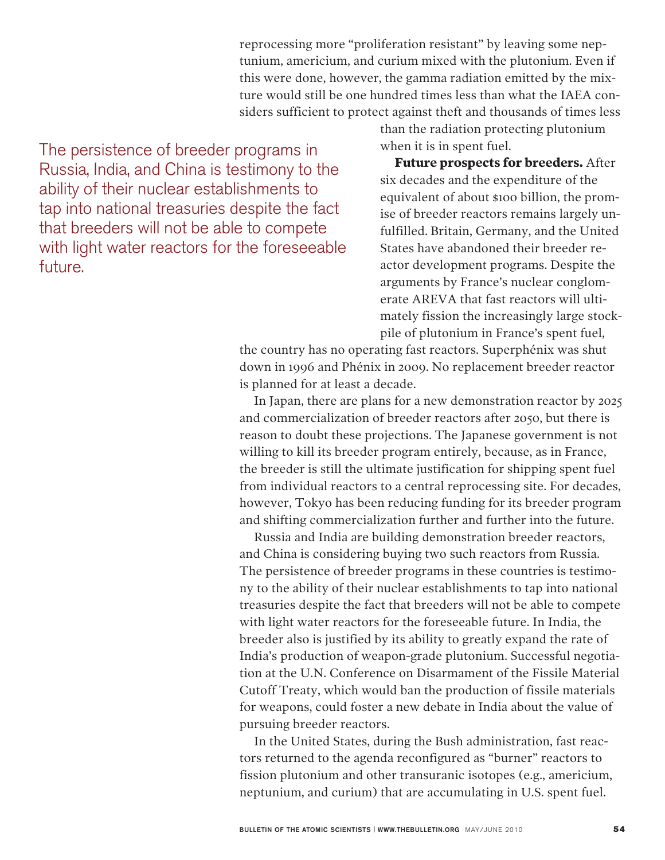reprocessing more "proliferation resistant" by leaving some neptunium, americium, and curium mixed with the plutonium. Even if this were done, however, the gamma radiation emitted by the mixture would still be one hundred times less than what the IAEA considers sufficient to protect against theft and thousands of times less

The persistence of breeder programs in Russia, India, and China is testimony to the ability of their nuclear establishments to tap into national treasuries despite the fact that breeders will not be able to compete with light water reactors for the foreseeable future.

than the radiation protecting plutonium when it is in spent fuel.

**Future prospects for breeders.** After six decades and the expenditure of the equivalent of about \$100 billion, the promise of breeder reactors remains largely unfulfilled. Britain, Germany, and the United States have abandoned their breeder reactor development programs. Despite the arguments by France's nuclear conglomerate AREVA that fast reactors will ultimately fission the increasingly large stockpile of plutonium in France's spent fuel,

the country has no operating fast reactors. Superphénix was shut down in 1996 and Phénix in 2009. No replacement breeder reactor is planned for at least a decade.

In Japan, there are plans for a new demonstration reactor by 2025 and commercialization of breeder reactors after 2050, but there is reason to doubt these projections. The Japanese government is not willing to kill its breeder program entirely, because, as in France, the breeder is still the ultimate justification for shipping spent fuel from individual reactors to a central reprocessing site. For decades, however, Tokyo has been reducing funding for its breeder program and shifting commercialization further and further into the future.

Russia and India are building demonstration breeder reactors, and China is considering buying two such reactors from Russia. The persistence of breeder programs in these countries is testimony to the ability of their nuclear establishments to tap into national treasuries despite the fact that breeders will not be able to compete with light water reactors for the foreseeable future. In India, the breeder also is justified by its ability to greatly expand the rate of India's production of weapon-grade plutonium. Successful negotiation at the U.N. Conference on Disarmament of the Fissile Material Cutoff Treaty, which would ban the production of fissile materials for weapons, could foster a new debate in India about the value of pursuing breeder reactors.

In the United States, during the Bush administration, fast reactors returned to the agenda reconfigured as "burner" reactors to fission plutonium and other transuranic isotopes (e.g., americium, neptunium, and curium) that are accumulating in U.S. spent fuel.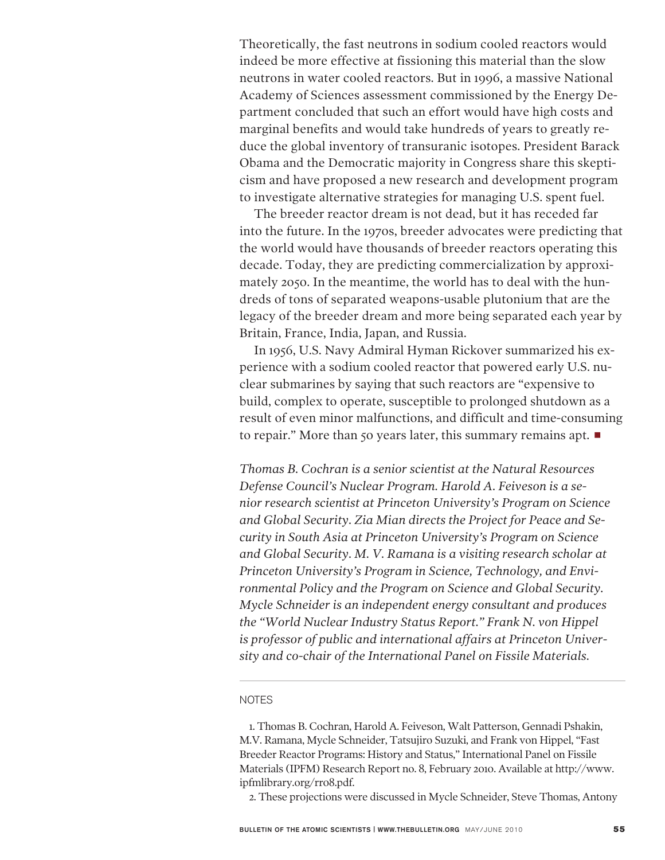Theoretically, the fast neutrons in sodium cooled reactors would indeed be more effective at fissioning this material than the slow neutrons in water cooled reactors. But in 1996, a massive National Academy of Sciences assessment commissioned by the Energy Department concluded that such an effort would have high costs and marginal benefits and would take hundreds of years to greatly reduce the global inventory of transuranic isotopes. President Barack Obama and the Democratic majority in Congress share this skepticism and have proposed a new research and development program to investigate alternative strategies for managing U.S. spent fuel.

The breeder reactor dream is not dead, but it has receded far into the future. In the 1970s, breeder advocates were predicting that the world would have thousands of breeder reactors operating this decade. Today, they are predicting commercialization by approximately 2050. In the meantime, the world has to deal with the hundreds of tons of separated weapons-usable plutonium that are the legacy of the breeder dream and more being separated each year by Britain, France, India, Japan, and Russia.

In 1956, U.S. Navy Admiral Hyman Rickover summarized his experience with a sodium cooled reactor that powered early U.S. nuclear submarines by saying that such reactors are "expensive to build, complex to operate, susceptible to prolonged shutdown as a result of even minor malfunctions, and difficult and time-consuming to repair." More than 50 years later, this summary remains apt. ■

*Thomas B. Cochran is a senior scientist at the Natural Resources Defense Council's Nuclear Program. Harold A. Feiveson is a senior research scientist at Princeton University's Program on Science and Global Security. Zia Mian directs the Project for Peace and Security in South Asia at Princeton University's Program on Science and Global Security. M. V. Ramana is a visiting research scholar at Princeton University's Program in Science, Technology, and Environmental Policy and the Program on Science and Global Security. Mycle Schneider is an independent energy consultant and produces the "World Nuclear Industry Status Report." Frank N. von Hippel is professor of public and international affairs at Princeton University and co-chair of the International Panel on Fissile Materials.*

## **NOTES**

1. Thomas B. Cochran, Harold A. Feiveson, Walt Patterson, Gennadi Pshakin, M.V. Ramana, Mycle Schneider, Tatsujiro Suzuki, and Frank von Hippel, "Fast Breeder Reactor Programs: History and Status," International Panel on Fissile Materials (IPFM) Research Report no. 8, February 2010. Available at http://www. ipfmlibrary.org/rr08.pdf.

2. These projections were discussed in Mycle Schneider, Steve Thomas, Antony